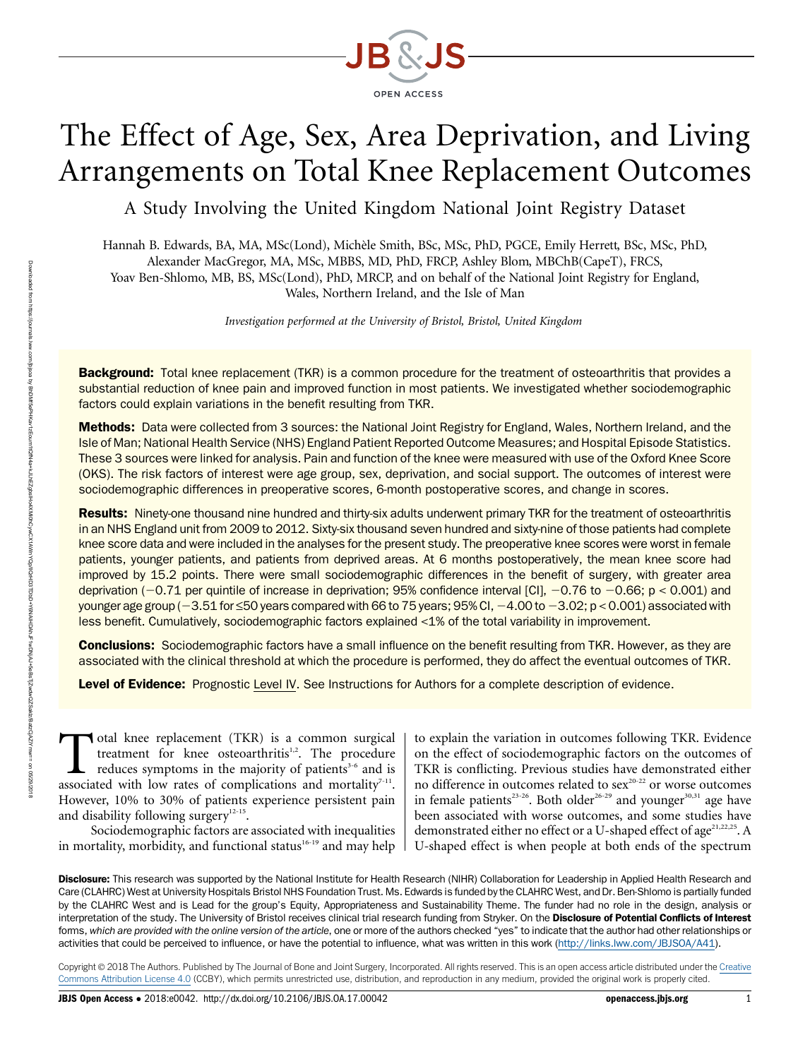

# The Effect of Age, Sex, Area Deprivation, and Living Arrangements on Total Knee Replacement Outcomes

A Study Involving the United Kingdom National Joint Registry Dataset

Hannah B. Edwards, BA, MA, MSc(Lond), Michele Smith, BSc, MSc, PhD, PGCE, Emily Herrett, BSc, MSc, PhD, ` Alexander MacGregor, MA, MSc, MBBS, MD, PhD, FRCP, Ashley Blom, MBChB(CapeT), FRCS, Yoav Ben-Shlomo, MB, BS, MSc(Lond), PhD, MRCP, and on behalf of the National Joint Registry for England, Wales, Northern Ireland, and the Isle of Man

Investigation performed at the University of Bristol, Bristol, United Kingdom

Background: Total knee replacement (TKR) is a common procedure for the treatment of osteoarthritis that provides a substantial reduction of knee pain and improved function in most patients. We investigated whether sociodemographic factors could explain variations in the benefit resulting from TKR.

Methods: Data were collected from 3 sources: the National Joint Registry for England, Wales, Northern Ireland, and the Isle of Man; National Health Service (NHS) England Patient Reported Outcome Measures; and Hospital Episode Statistics. These 3 sources were linked for analysis. Pain and function of the knee were measured with use of the Oxford Knee Score (OKS). The risk factors of interest were age group, sex, deprivation, and social support. The outcomes of interest were sociodemographic differences in preoperative scores, 6-month postoperative scores, and change in scores.

Results: Ninety-one thousand nine hundred and thirty-six adults underwent primary TKR for the treatment of osteoarthritis in an NHS England unit from 2009 to 2012. Sixty-six thousand seven hundred and sixty-nine of those patients had complete knee score data and were included in the analyses for the present study. The preoperative knee scores were worst in female patients, younger patients, and patients from deprived areas. At 6 months postoperatively, the mean knee score had improved by 15.2 points. There were small sociodemographic differences in the benefit of surgery, with greater area deprivation ( $-0.71$  per quintile of increase in deprivation; 95% confidence interval [CI],  $-0.76$  to  $-0.66$ ; p < 0.001) and younger age group ( $-3.51$  for  $\leq 50$  years compared with 66 to 75 years; 95% CI,  $-4.00$  to  $-3.02$ ; p  $< 0.001$ ) associated with less benefit. Cumulatively, sociodemographic factors explained <1% of the total variability in improvement.

Conclusions: Sociodemographic factors have a small influence on the benefit resulting from TKR. However, as they are associated with the clinical threshold at which the procedure is performed, they do affect the eventual outcomes of TKR.

Level of Evidence: Prognostic Level IV. See Instructions for Authors for a complete description of evidence.

Total knee replacement (TKR) is a common surgical<br>treatment for knee osteoarthritis<sup>1,2</sup>. The procedure<br>reduces symptoms in the majority of patients<sup>3,6</sup> and is<br>associated with low rates of complications and mortality<sup>7-1</sup> treatment for knee osteoarthritis<sup>1,2</sup>. The procedure reduces symptoms in the majority of patients $3-6$  and is associated with low rates of complications and mortality<sup>7-11</sup>. However, 10% to 30% of patients experience persistent pain and disability following surgery $12-15$ .

Sociodemographic factors are associated with inequalities in mortality, morbidity, and functional status<sup>16-19</sup> and may help to explain the variation in outcomes following TKR. Evidence on the effect of sociodemographic factors on the outcomes of TKR is conflicting. Previous studies have demonstrated either no difference in outcomes related to  $sex^{20-22}$  or worse outcomes in female patients<sup>23-26</sup>. Both older<sup>26-29</sup> and younger<sup>30,31</sup> age have been associated with worse outcomes, and some studies have demonstrated either no effect or a U-shaped effect of age<sup>21,22,25</sup>. A U-shaped effect is when people at both ends of the spectrum

Disclosure: This research was supported by the National Institute for Health Research (NIHR) Collaboration for Leadership in Applied Health Research and Care (CLAHRC) West at University Hospitals Bristol NHS Foundation Trust. Ms. Edwards is funded by the CLAHRC West, and Dr. Ben-Shlomo is partially funded by the CLAHRC West and is Lead for the group's Equity, Appropriateness and Sustainability Theme. The funder had no role in the design, analysis or interpretation of the study. The University of Bristol receives clinical trial research funding from Stryker. On the Disclosure of Potential Conflicts of Interest forms, which are provided with the online version of the article, one or more of the authors checked "yes" to indicate that the author had other relationships or activities that could be perceived to influence, or have the potential to influence, what was written in this work (<http://links.lww.com/JBJSOA/A41>).

Copyright @ 2018 The Authors. Published by The Journal of Bone and Joint Surgery, Incorporated. All rights reserved. This is an open access article distributed under the [Creative](http://creativecommons.org/licenses/by/4.0/) [Commons Attribution License 4.0](http://creativecommons.org/licenses/by/4.0/) (CCBY), which permits unrestricted use, distribution, and reproduction in any medium, provided the original work is properly cited.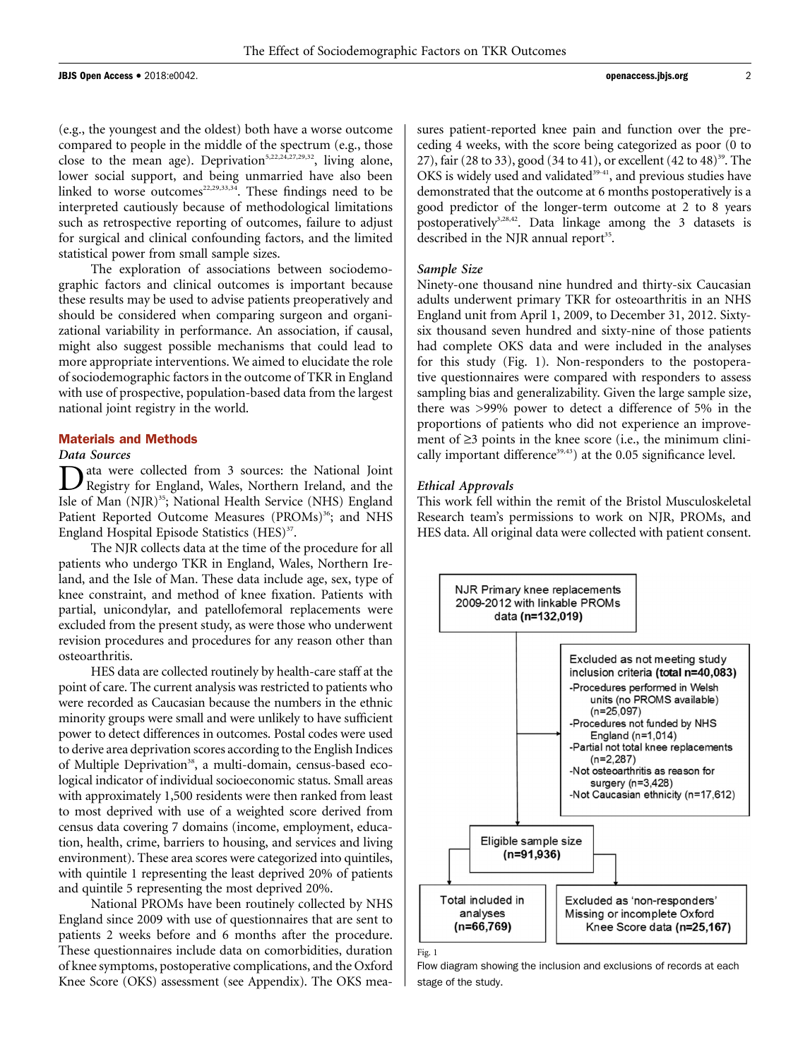(e.g., the youngest and the oldest) both have a worse outcome compared to people in the middle of the spectrum (e.g., those close to the mean age). Deprivation<sup>5,22,24,27,29,32</sup>, living alone, lower social support, and being unmarried have also been linked to worse outcomes<sup>22,29,33,34</sup>. These findings need to be interpreted cautiously because of methodological limitations such as retrospective reporting of outcomes, failure to adjust for surgical and clinical confounding factors, and the limited statistical power from small sample sizes.

The exploration of associations between sociodemographic factors and clinical outcomes is important because these results may be used to advise patients preoperatively and should be considered when comparing surgeon and organizational variability in performance. An association, if causal, might also suggest possible mechanisms that could lead to more appropriate interventions. We aimed to elucidate the role of sociodemographic factors in the outcome of TKR in England with use of prospective, population-based data from the largest national joint registry in the world.

#### Materials and Methods

Data Sources<br>
Data were collected from 3 sources: the National Joint Data were collected from 3 sources: the National Joint<br>Registry for England, Wales, Northern Ireland, and the Isle of Man (NJR)<sup>35</sup>; National Health Service (NHS) England Patient Reported Outcome Measures (PROMs)<sup>36</sup>; and NHS England Hospital Episode Statistics  $(HES)^{37}$ .

The NJR collects data at the time of the procedure for all patients who undergo TKR in England, Wales, Northern Ireland, and the Isle of Man. These data include age, sex, type of knee constraint, and method of knee fixation. Patients with partial, unicondylar, and patellofemoral replacements were excluded from the present study, as were those who underwent revision procedures and procedures for any reason other than osteoarthritis.

HES data are collected routinely by health-care staff at the point of care. The current analysis was restricted to patients who were recorded as Caucasian because the numbers in the ethnic minority groups were small and were unlikely to have sufficient power to detect differences in outcomes. Postal codes were used to derive area deprivation scores according to the English Indices of Multiple Deprivation<sup>38</sup>, a multi-domain, census-based ecological indicator of individual socioeconomic status. Small areas with approximately 1,500 residents were then ranked from least to most deprived with use of a weighted score derived from census data covering 7 domains (income, employment, education, health, crime, barriers to housing, and services and living environment). These area scores were categorized into quintiles, with quintile 1 representing the least deprived 20% of patients and quintile 5 representing the most deprived 20%.

National PROMs have been routinely collected by NHS England since 2009 with use of questionnaires that are sent to patients 2 weeks before and 6 months after the procedure. These questionnaires include data on comorbidities, duration of knee symptoms, postoperative complications, and the Oxford Knee Score (OKS) assessment (see Appendix). The OKS measures patient-reported knee pain and function over the preceding 4 weeks, with the score being categorized as poor (0 to 27), fair (28 to 33), good (34 to 41), or excellent (42 to 48)<sup>39</sup>. The OKS is widely used and validated<sup>39-41</sup>, and previous studies have demonstrated that the outcome at 6 months postoperatively is a good predictor of the longer-term outcome at 2 to 8 years postoperatively<sup>3,28,42</sup>. Data linkage among the 3 datasets is described in the NJR annual report $35$ .

#### Sample Size

Ninety-one thousand nine hundred and thirty-six Caucasian adults underwent primary TKR for osteoarthritis in an NHS England unit from April 1, 2009, to December 31, 2012. Sixtysix thousand seven hundred and sixty-nine of those patients had complete OKS data and were included in the analyses for this study (Fig. 1). Non-responders to the postoperative questionnaires were compared with responders to assess sampling bias and generalizability. Given the large sample size, there was >99% power to detect a difference of 5% in the proportions of patients who did not experience an improvement of  $\geq$ 3 points in the knee score (i.e., the minimum clinically important difference<sup>39,43</sup>) at the 0.05 significance level.

#### Ethical Approvals

This work fell within the remit of the Bristol Musculoskeletal Research team's permissions to work on NJR, PROMs, and HES data. All original data were collected with patient consent.



Fig. 1

Flow diagram showing the inclusion and exclusions of records at each stage of the study.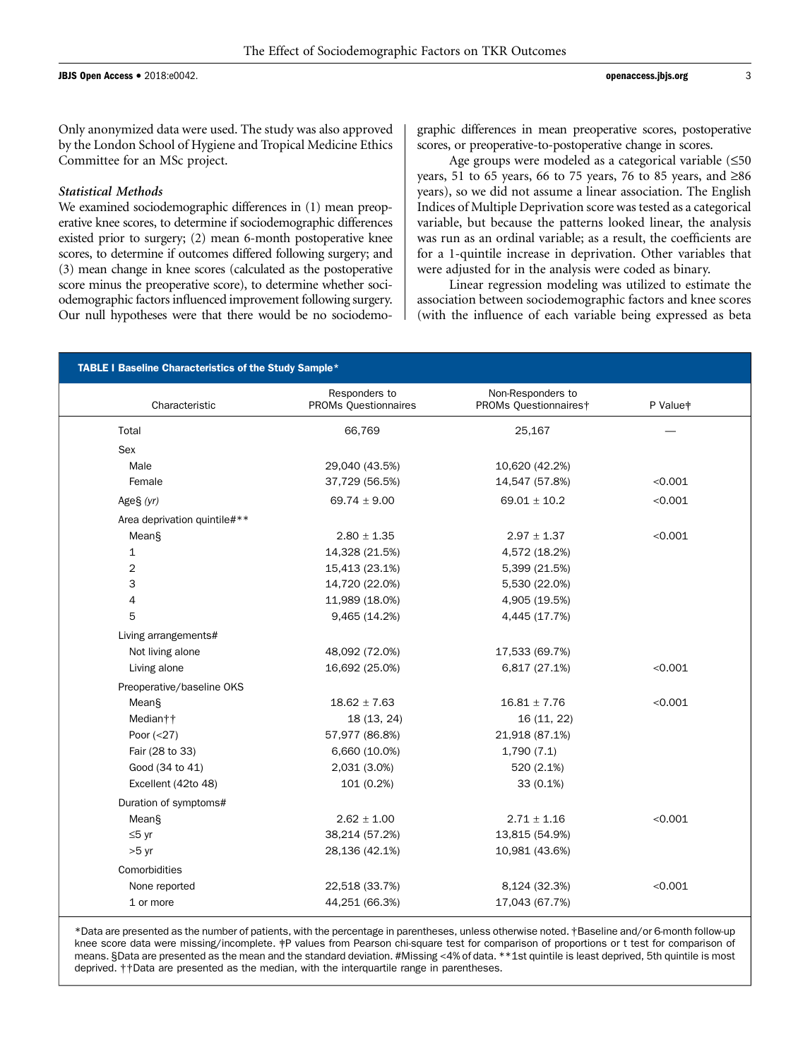Only anonymized data were used. The study was also approved by the London School of Hygiene and Tropical Medicine Ethics Committee for an MSc project.

#### Statistical Methods

We examined sociodemographic differences in (1) mean preoperative knee scores, to determine if sociodemographic differences existed prior to surgery; (2) mean 6-month postoperative knee scores, to determine if outcomes differed following surgery; and (3) mean change in knee scores (calculated as the postoperative score minus the preoperative score), to determine whether sociodemographic factors influenced improvement following surgery. Our null hypotheses were that there would be no sociodemographic differences in mean preoperative scores, postoperative scores, or preoperative-to-postoperative change in scores.

Age groups were modeled as a categorical variable  $(550$ years, 51 to 65 years, 66 to 75 years, 76 to 85 years, and  $\geq 86$ years), so we did not assume a linear association. The English Indices of Multiple Deprivation score was tested as a categorical variable, but because the patterns looked linear, the analysis was run as an ordinal variable; as a result, the coefficients are for a 1-quintile increase in deprivation. Other variables that were adjusted for in the analysis were coded as binary.

Linear regression modeling was utilized to estimate the association between sociodemographic factors and knee scores (with the influence of each variable being expressed as beta

| TABLE I Baseline Characteristics of the Study Sample* |                                       |                                                        |                      |  |  |
|-------------------------------------------------------|---------------------------------------|--------------------------------------------------------|----------------------|--|--|
| Characteristic                                        | Responders to<br>PROMs Questionnaires | Non-Responders to<br>PROMs Questionnaires <sup>+</sup> | P Value <sup>#</sup> |  |  |
| Total                                                 | 66,769                                | 25,167                                                 |                      |  |  |
| Sex                                                   |                                       |                                                        |                      |  |  |
| Male                                                  | 29,040 (43.5%)                        | 10,620 (42.2%)                                         |                      |  |  |
| Female                                                | 37,729 (56.5%)                        | 14,547 (57.8%)                                         | < 0.001              |  |  |
| Age§ (yr)                                             | 69.74 $\pm$ 9.00                      | $69.01 \pm 10.2$                                       | < 0.001              |  |  |
| Area deprivation quintile#**                          |                                       |                                                        |                      |  |  |
| Mean§                                                 | $2.80 \pm 1.35$                       | $2.97 \pm 1.37$                                        | < 0.001              |  |  |
| $\mathbf{1}$                                          | 14,328 (21.5%)                        | 4,572 (18.2%)                                          |                      |  |  |
| $\overline{2}$                                        | 15,413 (23.1%)                        | 5,399 (21.5%)                                          |                      |  |  |
| 3                                                     | 14,720 (22.0%)                        | 5,530 (22.0%)                                          |                      |  |  |
| 4                                                     | 11,989 (18.0%)                        | 4,905 (19.5%)                                          |                      |  |  |
| 5                                                     | 9,465 (14.2%)                         | 4,445 (17.7%)                                          |                      |  |  |
| Living arrangements#                                  |                                       |                                                        |                      |  |  |
| Not living alone                                      | 48,092 (72.0%)                        | 17,533 (69.7%)                                         |                      |  |  |
| Living alone                                          | 16,692 (25.0%)                        | 6,817 (27.1%)                                          | < 0.001              |  |  |
| Preoperative/baseline OKS                             |                                       |                                                        |                      |  |  |
| Mean§                                                 | $18.62 \pm 7.63$                      | $16.81 \pm 7.76$                                       | < 0.001              |  |  |
| Median††                                              | 18 (13, 24)                           | 16 (11, 22)                                            |                      |  |  |
| Poor $(<27)$                                          | 57,977 (86.8%)                        | 21,918 (87.1%)                                         |                      |  |  |
| Fair (28 to 33)                                       | 6,660 (10.0%)                         | 1,790(7.1)                                             |                      |  |  |
| Good (34 to 41)                                       | 2,031 (3.0%)                          | 520 (2.1%)                                             |                      |  |  |
| Excellent (42to 48)                                   | 101 (0.2%)                            | 33 (0.1%)                                              |                      |  |  |
| Duration of symptoms#                                 |                                       |                                                        |                      |  |  |
| Mean§                                                 | $2.62 \pm 1.00$                       | $2.71 \pm 1.16$                                        | < 0.001              |  |  |
| ≤5 yr                                                 | 38,214 (57.2%)                        | 13,815 (54.9%)                                         |                      |  |  |
| $>5$ yr                                               | 28,136 (42.1%)                        | 10,981 (43.6%)                                         |                      |  |  |
| Comorbidities                                         |                                       |                                                        |                      |  |  |
| None reported                                         | 22,518 (33.7%)                        | 8,124 (32.3%)                                          | < 0.001              |  |  |
| 1 or more                                             | 44,251 (66.3%)                        | 17,043 (67.7%)                                         |                      |  |  |

\*Data are presented as the number of patients, with the percentage in parentheses, unless otherwise noted. †Baseline and/or 6-month follow-up knee score data were missing/incomplete.  $\dagger$ P values from Pearson chi-square test for comparison of proportions or t test for comparison of means. §Data are presented as the mean and the standard deviation. #Missing <4% of data. \*\*1st quintile is least deprived, 5th quintile is most deprived. ††Data are presented as the median, with the interquartile range in parentheses.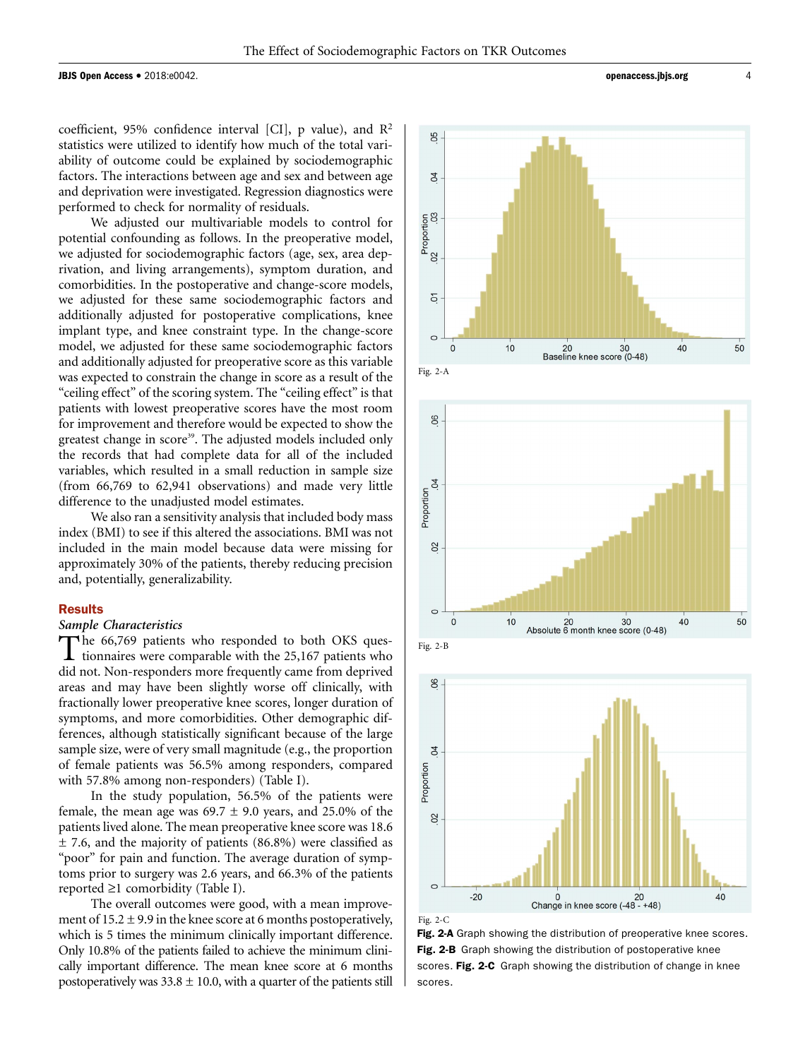coefficient, 95% confidence interval [CI], p value), and  $\mathbb{R}^2$ statistics were utilized to identify how much of the total variability of outcome could be explained by sociodemographic factors. The interactions between age and sex and between age and deprivation were investigated. Regression diagnostics were performed to check for normality of residuals.

We adjusted our multivariable models to control for potential confounding as follows. In the preoperative model, we adjusted for sociodemographic factors (age, sex, area deprivation, and living arrangements), symptom duration, and comorbidities. In the postoperative and change-score models, we adjusted for these same sociodemographic factors and additionally adjusted for postoperative complications, knee implant type, and knee constraint type. In the change-score model, we adjusted for these same sociodemographic factors and additionally adjusted for preoperative score as this variable was expected to constrain the change in score as a result of the "ceiling effect" of the scoring system. The "ceiling effect" is that patients with lowest preoperative scores have the most room for improvement and therefore would be expected to show the greatest change in score<sup>39</sup>. The adjusted models included only the records that had complete data for all of the included variables, which resulted in a small reduction in sample size (from 66,769 to 62,941 observations) and made very little difference to the unadjusted model estimates.

We also ran a sensitivity analysis that included body mass index (BMI) to see if this altered the associations. BMI was not included in the main model because data were missing for approximately 30% of the patients, thereby reducing precision and, potentially, generalizability.

#### **Results**

### Sample Characteristics

The 66,769 patients who responded to both OKS questionnaires were comparable with the 25,167 patients who did not. Non-responders more frequently came from deprived areas and may have been slightly worse off clinically, with fractionally lower preoperative knee scores, longer duration of symptoms, and more comorbidities. Other demographic differences, although statistically significant because of the large sample size, were of very small magnitude (e.g., the proportion of female patients was 56.5% among responders, compared with 57.8% among non-responders) (Table I).

In the study population, 56.5% of the patients were female, the mean age was  $69.7 \pm 9.0$  years, and 25.0% of the patients lived alone. The mean preoperative knee score was 18.6  $\pm$  7.6, and the majority of patients (86.8%) were classified as "poor" for pain and function. The average duration of symptoms prior to surgery was 2.6 years, and 66.3% of the patients reported  $\geq 1$  comorbidity (Table I).

The overall outcomes were good, with a mean improvement of  $15.2 \pm 9.9$  in the knee score at 6 months postoperatively, which is 5 times the minimum clinically important difference. Only 10.8% of the patients failed to achieve the minimum clinically important difference. The mean knee score at 6 months postoperatively was  $33.8 \pm 10.0$ , with a quarter of the patients still









Fig. 2-C

Fig. 2-A Graph showing the distribution of preoperative knee scores. Fig. 2-B Graph showing the distribution of postoperative knee scores. Fig. 2-C Graph showing the distribution of change in knee scores.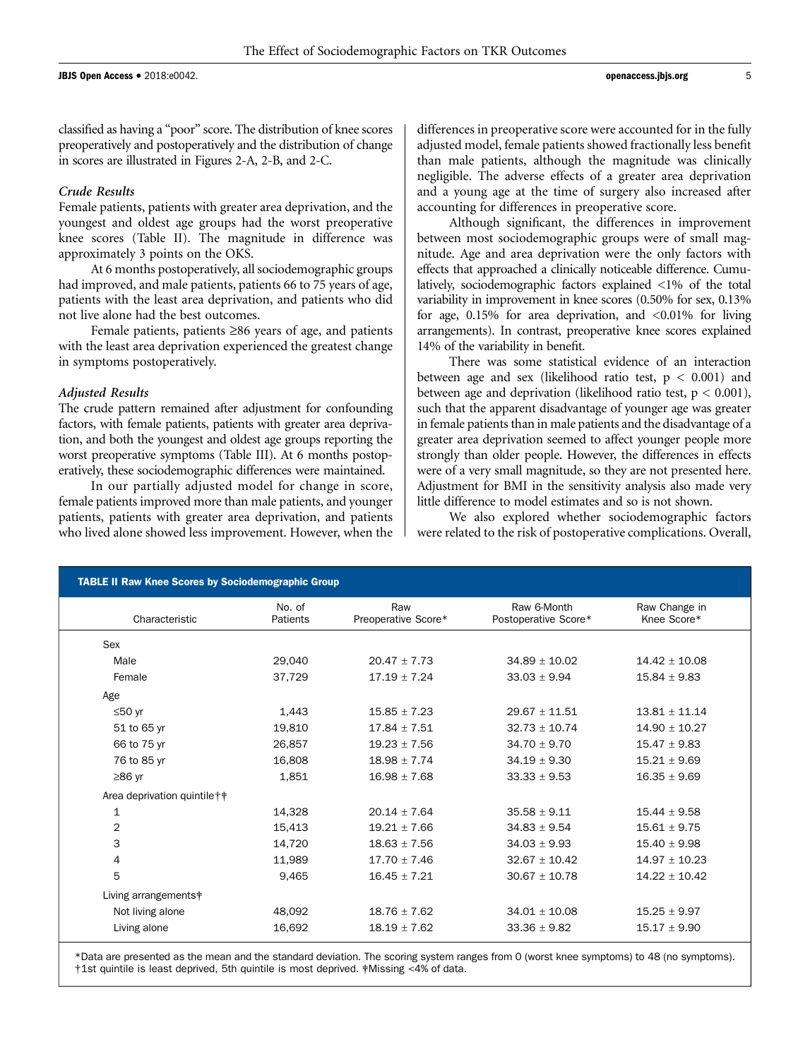JBJS Open Access • 2018:e0042. **Subset of a control of a control of a control of a control of a control openaccess.jbjs.org** 5

classified as having a "poor" score. The distribution of knee scores preoperatively and postoperatively and the distribution of change in scores are illustrated in Figures 2-A, 2-B, and 2-C.

#### Crude Results

Female patients, patients with greater area deprivation, and the youngest and oldest age groups had the worst preoperative knee scores (Table II). The magnitude in difference was approximately 3 points on the OKS.

At 6 months postoperatively, all sociodemographic groups had improved, and male patients, patients 66 to 75 years of age, patients with the least area deprivation, and patients who did not live alone had the best outcomes.

Female patients, patients  $\geq 86$  years of age, and patients with the least area deprivation experienced the greatest change in symptoms postoperatively.

#### Adjusted Results

The crude pattern remained after adjustment for confounding factors, with female patients, patients with greater area deprivation, and both the youngest and oldest age groups reporting the worst preoperative symptoms (Table III). At 6 months postoperatively, these sociodemographic differences were maintained.

In our partially adjusted model for change in score, female patients improved more than male patients, and younger patients, patients with greater area deprivation, and patients who lived alone showed less improvement. However, when the differences in preoperative score were accounted for in the fully adjusted model, female patients showed fractionally less benefit than male patients, although the magnitude was clinically negligible. The adverse effects of a greater area deprivation and a young age at the time of surgery also increased after accounting for differences in preoperative score.

Although significant, the differences in improvement between most sociodemographic groups were of small magnitude. Age and area deprivation were the only factors with effects that approached a clinically noticeable difference. Cumulatively, sociodemographic factors explained <1% of the total variability in improvement in knee scores (0.50% for sex, 0.13% for age, 0.15% for area deprivation, and <0.01% for living arrangements). In contrast, preoperative knee scores explained 14% of the variability in benefit.

There was some statistical evidence of an interaction between age and sex (likelihood ratio test,  $p < 0.001$ ) and between age and deprivation (likelihood ratio test, p < 0.001), such that the apparent disadvantage of younger age was greater in female patients than in male patients and the disadvantage of a greater area deprivation seemed to affect younger people more strongly than older people. However, the differences in effects were of a very small magnitude, so they are not presented here. Adjustment for BMI in the sensitivity analysis also made very little difference to model estimates and so is not shown.

We also explored whether sociodemographic factors were related to the risk of postoperative complications. Overall,

| <b>TABLE II Raw Knee Scores by Sociodemographic Group</b> |                    |                            |                                     |                              |  |  |  |
|-----------------------------------------------------------|--------------------|----------------------------|-------------------------------------|------------------------------|--|--|--|
| Characteristic                                            | No. of<br>Patients | Raw<br>Preoperative Score* | Raw 6-Month<br>Postoperative Score* | Raw Change in<br>Knee Score* |  |  |  |
| Sex                                                       |                    |                            |                                     |                              |  |  |  |
| Male                                                      | 29,040             | $20.47 + 7.73$             | $34.89 + 10.02$                     | $14.42 + 10.08$              |  |  |  |
| Female                                                    | 37,729             | $17.19 \pm 7.24$           | $33.03 \pm 9.94$                    | $15.84 \pm 9.83$             |  |  |  |
| Age                                                       |                    |                            |                                     |                              |  |  |  |
| $≤50$ yr                                                  | 1,443              | $15.85 \pm 7.23$           | $29.67 \pm 11.51$                   | $13.81 \pm 11.14$            |  |  |  |
| 51 to 65 yr                                               | 19,810             | $17.84 \pm 7.51$           | $32.73 \pm 10.74$                   | $14.90 \pm 10.27$            |  |  |  |
| 66 to 75 yr                                               | 26,857             | $19.23 \pm 7.56$           | $34.70 \pm 9.70$                    | $15.47 \pm 9.83$             |  |  |  |
| 76 to 85 yr                                               | 16,808             | $18.98 \pm 7.74$           | $34.19 \pm 9.30$                    | $15.21 \pm 9.69$             |  |  |  |
| ≥86 yr                                                    | 1,851              | $16.98 \pm 7.68$           | $33.33 \pm 9.53$                    | $16.35 \pm 9.69$             |  |  |  |
| Area deprivation quintile++                               |                    |                            |                                     |                              |  |  |  |
| 1                                                         | 14,328             | $20.14 \pm 7.64$           | $35.58 \pm 9.11$                    | $15.44 \pm 9.58$             |  |  |  |
| 2                                                         | 15,413             | $19.21 \pm 7.66$           | $34.83 \pm 9.54$                    | $15.61 \pm 9.75$             |  |  |  |
| 3                                                         | 14,720             | $18.63 \pm 7.56$           | $34.03 \pm 9.93$                    | $15.40 \pm 9.98$             |  |  |  |
| 4                                                         | 11,989             | $17.70 \pm 7.46$           | $32.67 \pm 10.42$                   | $14.97 \pm 10.23$            |  |  |  |
| 5                                                         | 9,465              | $16.45 \pm 7.21$           | $30.67 \pm 10.78$                   | $14.22 \pm 10.42$            |  |  |  |
| Living arrangements <sup>†</sup>                          |                    |                            |                                     |                              |  |  |  |
| Not living alone                                          | 48,092             | $18.76 + 7.62$             | $34.01 \pm 10.08$                   | $15.25 \pm 9.97$             |  |  |  |
| Living alone                                              | 16,692             | $18.19 \pm 7.62$           | $33.36 \pm 9.82$                    | $15.17 \pm 9.90$             |  |  |  |

\*Data are presented as the mean and the standard deviation. The scoring system ranges from 0 (worst knee symptoms) to 48 (no symptoms). †1st quintile is least deprived, 5th quintile is most deprived. ‡Missing <4% of data.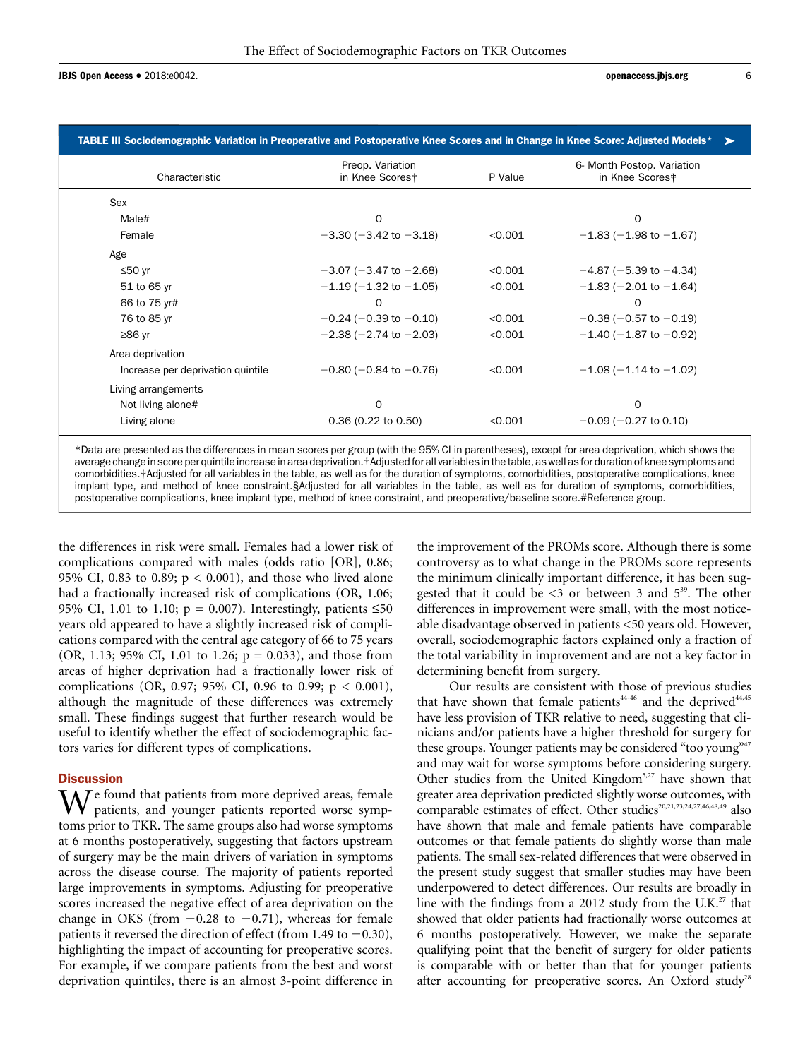| Characteristic                    | Preop. Variation<br>in Knee Scorest | P Value | 6- Month Postop. Variation<br>in Knee Scores <sup>†</sup> |
|-----------------------------------|-------------------------------------|---------|-----------------------------------------------------------|
| Sex                               |                                     |         |                                                           |
| Male#                             | 0                                   |         | 0                                                         |
| Female                            | $-3.30$ ( $-3.42$ to $-3.18$ )      | < 0.001 | $-1.83$ ( $-1.98$ to $-1.67$ )                            |
| Age                               |                                     |         |                                                           |
| ≤50 $yr$                          | $-3.07$ ( $-3.47$ to $-2.68$ )      | < 0.001 | $-4.87$ ( $-5.39$ to $-4.34$ )                            |
| 51 to 65 yr                       | $-1.19(-1.32$ to $-1.05$ )          | < 0.001 | $-1.83$ ( $-2.01$ to $-1.64$ )                            |
| 66 to 75 yr#                      | 0                                   |         | 0                                                         |
| 76 to 85 yr                       | $-0.24$ ( $-0.39$ to $-0.10$ )      | < 0.001 | $-0.38$ ( $-0.57$ to $-0.19$ )                            |
| $\geq 86$ yr                      | $-2.38(-2.74$ to $-2.03$ )          | < 0.001 | $-1.40$ ( $-1.87$ to $-0.92$ )                            |
| Area deprivation                  |                                     |         |                                                           |
| Increase per deprivation quintile | $-0.80$ ( $-0.84$ to $-0.76$ )      | < 0.001 | $-1.08$ ( $-1.14$ to $-1.02$ )                            |
| Living arrangements               |                                     |         |                                                           |
| Not living alone#                 | 0                                   |         | $\Omega$                                                  |
| Living alone                      | $0.36$ (0.22 to 0.50)               | < 0.001 | $-0.09$ ( $-0.27$ to 0.10)                                |

\*Data are presented as the differences in mean scores per group (with the 95% CI in parentheses), except for area deprivation, which shows the average change in score per quintile increase in area deprivation.†Adjusted for all variables in the table, as well as for duration of knee symptoms and comorbidities.‡Adjusted for all variables in the table, as well as for the duration of symptoms, comorbidities, postoperative complications, knee implant type, and method of knee constraint.§Adjusted for all variables in the table, as well as for duration of symptoms, comorbidities, postoperative complications, knee implant type, method of knee constraint, and preoperative/baseline score.#Reference group.

the differences in risk were small. Females had a lower risk of complications compared with males (odds ratio [OR], 0.86; 95% CI, 0.83 to 0.89;  $p < 0.001$ ), and those who lived alone had a fractionally increased risk of complications (OR, 1.06; 95% CI, 1.01 to 1.10;  $p = 0.007$ ). Interestingly, patients  $\leq 50$ years old appeared to have a slightly increased risk of complications compared with the central age category of 66 to 75 years (OR, 1.13; 95% CI, 1.01 to 1.26;  $p = 0.033$ ), and those from areas of higher deprivation had a fractionally lower risk of complications (OR, 0.97; 95% CI, 0.96 to 0.99;  $p < 0.001$ ), although the magnitude of these differences was extremely small. These findings suggest that further research would be useful to identify whether the effect of sociodemographic factors varies for different types of complications.

### **Discussion**

 $\mathcal{N}$  e found that patients from more deprived areas, female patients, and younger patients reported worse symptoms prior to TKR. The same groups also had worse symptoms at 6 months postoperatively, suggesting that factors upstream of surgery may be the main drivers of variation in symptoms across the disease course. The majority of patients reported large improvements in symptoms. Adjusting for preoperative scores increased the negative effect of area deprivation on the change in OKS (from  $-0.28$  to  $-0.71$ ), whereas for female patients it reversed the direction of effect (from 1.49 to  $-0.30$ ), highlighting the impact of accounting for preoperative scores. For example, if we compare patients from the best and worst deprivation quintiles, there is an almost 3-point difference in the improvement of the PROMs score. Although there is some controversy as to what change in the PROMs score represents the minimum clinically important difference, it has been suggested that it could be  $\leq$  3 or between 3 and  $5^{39}$ . The other differences in improvement were small, with the most noticeable disadvantage observed in patients <50 years old. However, overall, sociodemographic factors explained only a fraction of the total variability in improvement and are not a key factor in determining benefit from surgery.

Our results are consistent with those of previous studies that have shown that female patients $44-46$  and the deprived $44,45$ have less provision of TKR relative to need, suggesting that clinicians and/or patients have a higher threshold for surgery for these groups. Younger patients may be considered "too young"<sup>47</sup> and may wait for worse symptoms before considering surgery. Other studies from the United Kingdom<sup>5,27</sup> have shown that greater area deprivation predicted slightly worse outcomes, with comparable estimates of effect. Other studies<sup>20,21,23,24,27,46,48,49</sup> also have shown that male and female patients have comparable outcomes or that female patients do slightly worse than male patients. The small sex-related differences that were observed in the present study suggest that smaller studies may have been underpowered to detect differences. Our results are broadly in line with the findings from a 2012 study from the U.K. $27$  that showed that older patients had fractionally worse outcomes at 6 months postoperatively. However, we make the separate qualifying point that the benefit of surgery for older patients is comparable with or better than that for younger patients after accounting for preoperative scores. An Oxford study<sup>28</sup>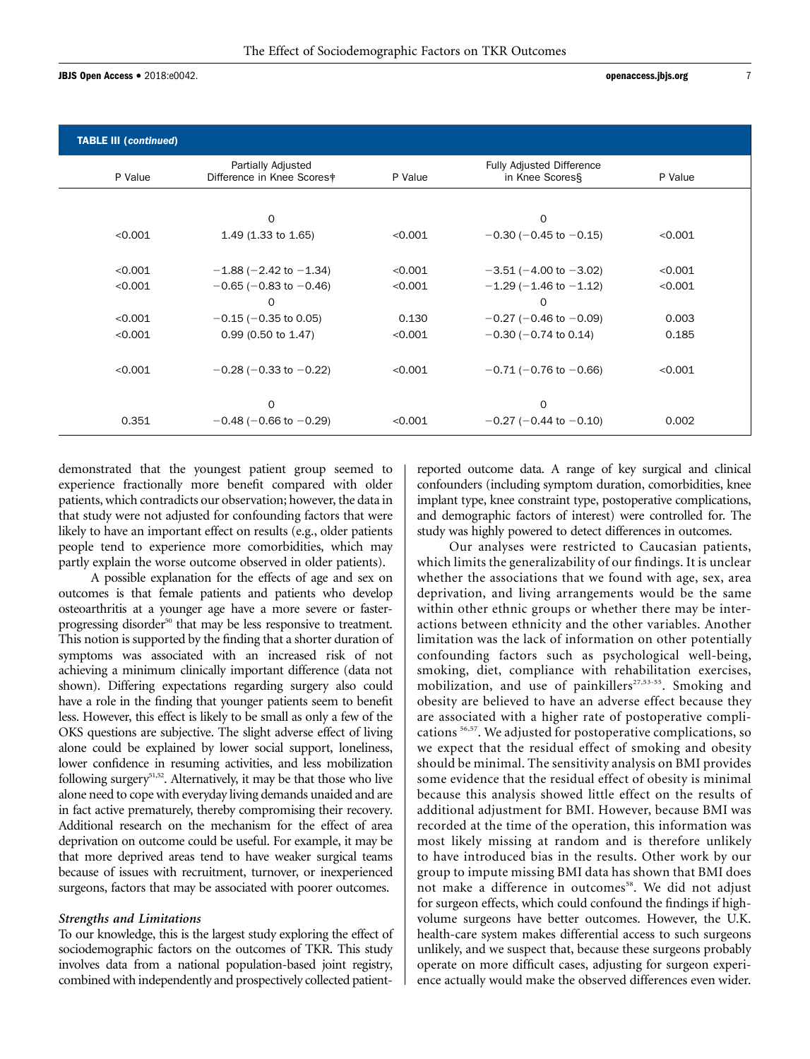| <b>TABLE III (continued)</b> |                                                              |         |                                                     |         |
|------------------------------|--------------------------------------------------------------|---------|-----------------------------------------------------|---------|
| P Value                      | Partially Adjusted<br>Difference in Knee Scores <sup>†</sup> | P Value | <b>Fully Adjusted Difference</b><br>in Knee Scores& | P Value |
|                              |                                                              |         |                                                     |         |
|                              | $\mathbf 0$                                                  |         | $\circ$                                             |         |
| < 0.001                      | 1.49 $(1.33 \text{ to } 1.65)$                               | < 0.001 | $-0.30$ ( $-0.45$ to $-0.15$ )                      | < 0.001 |
|                              |                                                              |         |                                                     |         |
| < 0.001                      | $-1.88$ ( $-2.42$ to $-1.34$ )                               | < 0.001 | $-3.51$ ( $-4.00$ to $-3.02$ )                      | < 0.001 |
| < 0.001                      | $-0.65$ ( $-0.83$ to $-0.46$ )                               | < 0.001 | $-1.29(-1.46 \text{ to } -1.12)$                    | < 0.001 |
|                              | 0                                                            |         | 0                                                   |         |
| < 0.001                      | $-0.15$ ( $-0.35$ to 0.05)                                   | 0.130   | $-0.27$ ( $-0.46$ to $-0.09$ )                      | 0.003   |
| < 0.001                      | $0.99(0.50 \text{ to } 1.47)$                                | < 0.001 | $-0.30$ ( $-0.74$ to 0.14)                          | 0.185   |
|                              |                                                              |         |                                                     |         |
| < 0.001                      | $-0.28$ ( $-0.33$ to $-0.22$ )                               | < 0.001 | $-0.71$ ( $-0.76$ to $-0.66$ )                      | < 0.001 |
|                              |                                                              |         |                                                     |         |
|                              | $\mathbf 0$                                                  |         | $\mathbf 0$                                         |         |
| 0.351                        | $-0.48$ ( $-0.66$ to $-0.29$ )                               | < 0.001 | $-0.27$ (-0.44 to $-0.10$ )                         | 0.002   |
|                              |                                                              |         |                                                     |         |

demonstrated that the youngest patient group seemed to experience fractionally more benefit compared with older patients, which contradicts our observation; however, the data in that study were not adjusted for confounding factors that were likely to have an important effect on results (e.g., older patients people tend to experience more comorbidities, which may partly explain the worse outcome observed in older patients).

A possible explanation for the effects of age and sex on outcomes is that female patients and patients who develop osteoarthritis at a younger age have a more severe or fasterprogressing disorder<sup>50</sup> that may be less responsive to treatment. This notion is supported by the finding that a shorter duration of symptoms was associated with an increased risk of not achieving a minimum clinically important difference (data not shown). Differing expectations regarding surgery also could have a role in the finding that younger patients seem to benefit less. However, this effect is likely to be small as only a few of the OKS questions are subjective. The slight adverse effect of living alone could be explained by lower social support, loneliness, lower confidence in resuming activities, and less mobilization following surgery $51,52$ . Alternatively, it may be that those who live alone need to cope with everyday living demands unaided and are in fact active prematurely, thereby compromising their recovery. Additional research on the mechanism for the effect of area deprivation on outcome could be useful. For example, it may be that more deprived areas tend to have weaker surgical teams because of issues with recruitment, turnover, or inexperienced surgeons, factors that may be associated with poorer outcomes.

## Strengths and Limitations

To our knowledge, this is the largest study exploring the effect of sociodemographic factors on the outcomes of TKR. This study involves data from a national population-based joint registry, combined with independently and prospectively collected patientreported outcome data. A range of key surgical and clinical confounders (including symptom duration, comorbidities, knee implant type, knee constraint type, postoperative complications, and demographic factors of interest) were controlled for. The study was highly powered to detect differences in outcomes.

Our analyses were restricted to Caucasian patients, which limits the generalizability of our findings. It is unclear whether the associations that we found with age, sex, area deprivation, and living arrangements would be the same within other ethnic groups or whether there may be interactions between ethnicity and the other variables. Another limitation was the lack of information on other potentially confounding factors such as psychological well-being, smoking, diet, compliance with rehabilitation exercises, mobilization, and use of painkillers<sup>27,53-55</sup>. Smoking and obesity are believed to have an adverse effect because they are associated with a higher rate of postoperative complications 56,57. We adjusted for postoperative complications, so we expect that the residual effect of smoking and obesity should be minimal. The sensitivity analysis on BMI provides some evidence that the residual effect of obesity is minimal because this analysis showed little effect on the results of additional adjustment for BMI. However, because BMI was recorded at the time of the operation, this information was most likely missing at random and is therefore unlikely to have introduced bias in the results. Other work by our group to impute missing BMI data has shown that BMI does not make a difference in outcomes<sup>58</sup>. We did not adjust for surgeon effects, which could confound the findings if highvolume surgeons have better outcomes. However, the U.K. health-care system makes differential access to such surgeons unlikely, and we suspect that, because these surgeons probably operate on more difficult cases, adjusting for surgeon experience actually would make the observed differences even wider.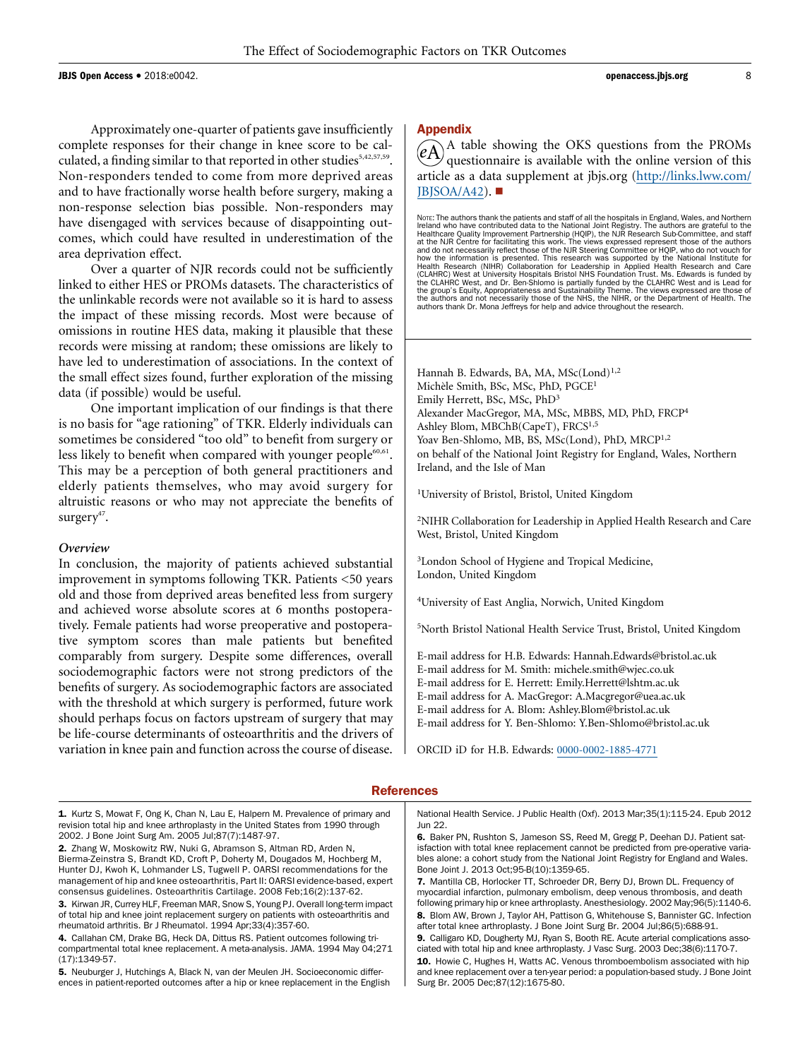JBJS Open Access • 2018:e0042. **8**<br>**BJS Open Access • 2018:e0042. 8** 

Approximately one-quarter of patients gave insufficiently complete responses for their change in knee score to be calculated, a finding similar to that reported in other studies<sup>5,42,57,59</sup>. Non-responders tended to come from more deprived areas and to have fractionally worse health before surgery, making a non-response selection bias possible. Non-responders may have disengaged with services because of disappointing outcomes, which could have resulted in underestimation of the area deprivation effect.

Over a quarter of NJR records could not be sufficiently linked to either HES or PROMs datasets. The characteristics of the unlinkable records were not available so it is hard to assess the impact of these missing records. Most were because of omissions in routine HES data, making it plausible that these records were missing at random; these omissions are likely to have led to underestimation of associations. In the context of the small effect sizes found, further exploration of the missing data (if possible) would be useful.

One important implication of our findings is that there is no basis for "age rationing" of TKR. Elderly individuals can sometimes be considered "too old" to benefit from surgery or less likely to benefit when compared with younger people $60,61$ . This may be a perception of both general practitioners and elderly patients themselves, who may avoid surgery for altruistic reasons or who may not appreciate the benefits of surgery $47$ .

#### Overview

In conclusion, the majority of patients achieved substantial improvement in symptoms following TKR. Patients <50 years old and those from deprived areas benefited less from surgery and achieved worse absolute scores at 6 months postoperatively. Female patients had worse preoperative and postoperative symptom scores than male patients but benefited comparably from surgery. Despite some differences, overall sociodemographic factors were not strong predictors of the benefits of surgery. As sociodemographic factors are associated with the threshold at which surgery is performed, future work should perhaps focus on factors upstream of surgery that may be life-course determinants of osteoarthritis and the drivers of variation in knee pain and function across the course of disease.

#### Appendix

 $(\widehat{eA})$ <sup>A</sup> table showing the OKS questions from the PROMs questionnaire is available with the online version of this article as a data supplement at jbjs.org [\(http://links.lww.com/](http://links.lww.com/JBJSOA/A42)  $JBJSOA/A42$ ).

Nore: The authors thank the patients and staff of all the hospitals in England, Wales, and Northern<br>Ireland who have contributed data to the National Joint Registry. The authors are grateful to the<br>Healthcare Quality Impro at the NJR Centre for facilitating this work. The views expressed represent those of the authors<br>and do not necessarily reflect those of the NJR Steering Committee or HQIP, who do not vouch for<br>how the information is prese (CLAHRC) West at University Hospitals Bristol NHS Foundation Trust. Ms. Edwards is funded by<br>the CLAHRC West, and Dr. Ben-Shlomo is partially funded by the CLAHRC West and is Lead for<br>the group's Equity, Appropriateness an

Hannah B. Edwards, BA, MA, MSc(Lond)<sup>1,2</sup> Michèle Smith, BSc, MSc, PhD, PGCE<sup>1</sup> Emily Herrett, BSc, MSc, PhD<sup>3</sup> Alexander MacGregor, MA, MSc, MBBS, MD, PhD, FRCP4 Ashley Blom, MBChB(CapeT), FRCS<sup>1,5</sup> Yoav Ben-Shlomo, MB, BS, MSc(Lond), PhD, MRCP<sup>1,2</sup> on behalf of the National Joint Registry for England, Wales, Northern Ireland, and the Isle of Man

1 University of Bristol, Bristol, United Kingdom

2 NIHR Collaboration for Leadership in Applied Health Research and Care West, Bristol, United Kingdom

3London School of Hygiene and Tropical Medicine, London, United Kingdom

4 University of East Anglia, Norwich, United Kingdom

5 North Bristol National Health Service Trust, Bristol, United Kingdom

E-mail address for H.B. Edwards: Hannah.Edwards@bristol.ac.uk E-mail address for M. Smith: michele.smith@wjec.co.uk E-mail address for E. Herrett: Emily.Herrett@lshtm.ac.uk E-mail address for A. MacGregor: A.Macgregor@uea.ac.uk E-mail address for A. Blom: Ashley.Blom@bristol.ac.uk E-mail address for Y. Ben-Shlomo: Y.Ben-Shlomo@bristol.ac.uk

ORCID iD for H.B. Edwards: [0000-0002-1885-4771](http://orcid.org/0000-0002-1885-4771)

#### **References**

1. Kurtz S, Mowat F, Ong K, Chan N, Lau E, Halpern M. Prevalence of primary and revision total hip and knee arthroplasty in the United States from 1990 through 2002. J Bone Joint Surg Am. 2005 Jul;87(7):1487-97.

2. Zhang W, Moskowitz RW, Nuki G, Abramson S, Altman RD, Arden N, Bierma-Zeinstra S, Brandt KD, Croft P, Doherty M, Dougados M, Hochberg M, Hunter DJ, Kwoh K, Lohmander LS, Tugwell P. OARSI recommendations for the management of hip and knee osteoarthritis, Part II: OARSI evidence-based, expert consensus guidelines. Osteoarthritis Cartilage. 2008 Feb;16(2):137-62.

3. Kirwan JR, Currey HLF, Freeman MAR, Snow S, Young PJ. Overall long-term impact of total hip and knee joint replacement surgery on patients with osteoarthritis and rheumatoid arthritis. Br J Rheumatol. 1994 Apr;33(4):357-60.

4. Callahan CM, Drake BG, Heck DA, Dittus RS. Patient outcomes following tricompartmental total knee replacement. A meta-analysis. JAMA. 1994 May 04;271 (17):1349-57.

5. Neuburger J, Hutchings A, Black N, van der Meulen JH. Socioeconomic differences in patient-reported outcomes after a hip or knee replacement in the English National Health Service. J Public Health (Oxf). 2013 Mar;35(1):115-24. Epub 2012 Jun 22.

6. Baker PN, Rushton S, Jameson SS, Reed M, Gregg P, Deehan DJ. Patient satisfaction with total knee replacement cannot be predicted from pre-operative variables alone: a cohort study from the National Joint Registry for England and Wales. Bone Joint J. 2013 Oct;95-B(10):1359-65.

7. Mantilla CB, Horlocker TT, Schroeder DR, Berry DJ, Brown DL. Frequency of myocardial infarction, pulmonary embolism, deep venous thrombosis, and death following primary hip or knee arthroplasty. Anesthesiology. 2002 May;96(5):1140-6. 8. Blom AW, Brown J, Taylor AH, Pattison G, Whitehouse S, Bannister GC. Infection after total knee arthroplasty. J Bone Joint Surg Br. 2004 Jul;86(5):688-91.

9. Calligaro KD, Dougherty MJ, Ryan S, Booth RE. Acute arterial complications associated with total hip and knee arthroplasty. J Vasc Surg. 2003 Dec;38(6):1170-7. 10. Howie C, Hughes H, Watts AC, Venous thromboembolism associated with hip and knee replacement over a ten-year period: a population-based study. J Bone Joint Surg Br. 2005 Dec;87(12):1675-80.